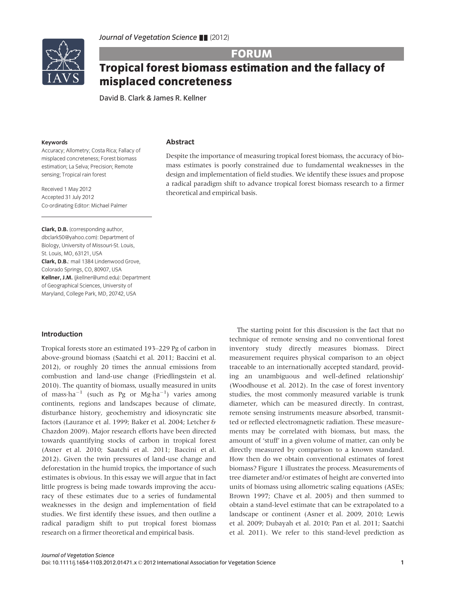

# FORUM Tropical forest biomass estimation and the fallacy of misplaced concreteness

Despite the importance of measuring tropical forest biomass, the accuracy of biomass estimates is poorly constrained due to fundamental weaknesses in the design and implementation of field studies. We identify these issues and propose a radical paradigm shift to advance tropical forest biomass research to a firmer

David B. Clark & James R. Kellner

Abstract

theoretical and empirical basis.

#### Keywords

Accuracy; Allometry; Costa Rica; Fallacy of misplaced concreteness; Forest biomass estimation; La Selva; Precision; Remote sensing; Tropical rain forest

Received 1 May 2012 Accepted 31 July 2012 Co-ordinating Editor: Michael Palmer

Clark, D.B. (corresponding author, dbclark50@yahoo.com): Department of Biology, University of Missouri-St. Louis, St. Louis, MO, 63121, USA Clark, D.B.: mail 1384 Lindenwood Grove, Colorado Springs, CO, 80907, USA Kellner, J.M. (jkellner@umd.edu): Department of Geographical Sciences, University of Maryland, College Park, MD, 20742, USA

## Introduction

Tropical forests store an estimated 193–229 Pg of carbon in above-ground biomass (Saatchi et al. 2011; Baccini et al. 2012), or roughly 20 times the annual emissions from combustion and land-use change (Friedlingstein et al. 2010). The quantity of biomass, usually measured in units of mass-ha<sup>-1</sup> (such as Pg or Mg-ha<sup>-1</sup>) varies among continents, regions and landscapes because of climate, disturbance history, geochemistry and idiosyncratic site factors (Laurance et al. 1999; Baker et al. 2004; Letcher & Chazdon 2009). Major research efforts have been directed towards quantifying stocks of carbon in tropical forest (Asner et al. 2010; Saatchi et al. 2011; Baccini et al. 2012). Given the twin pressures of land-use change and deforestation in the humid tropics, the importance of such estimates is obvious. In this essay we will argue that in fact little progress is being made towards improving the accuracy of these estimates due to a series of fundamental weaknesses in the design and implementation of field studies. We first identify these issues, and then outline a radical paradigm shift to put tropical forest biomass research on a firmer theoretical and empirical basis.

The starting point for this discussion is the fact that no technique of remote sensing and no conventional forest inventory study directly measures biomass. Direct measurement requires physical comparison to an object traceable to an internationally accepted standard, providing an unambiguous and well-defined relationship' (Woodhouse et al. 2012). In the case of forest inventory studies, the most commonly measured variable is trunk diameter, which can be measured directly. In contrast, remote sensing instruments measure absorbed, transmitted or reflected electromagnetic radiation. These measurements may be correlated with biomass, but mass, the amount of 'stuff' in a given volume of matter, can only be directly measured by comparison to a known standard. How then do we obtain conventional estimates of forest biomass? Figure 1 illustrates the process. Measurements of tree diameter and/or estimates of height are converted into units of biomass using allometric scaling equations (ASEs; Brown 1997; Chave et al. 2005) and then summed to obtain a stand-level estimate that can be extrapolated to a landscape or continent (Asner et al. 2009, 2010; Lewis et al. 2009; Dubayah et al. 2010; Pan et al. 2011; Saatchi et al. 2011). We refer to this stand-level prediction as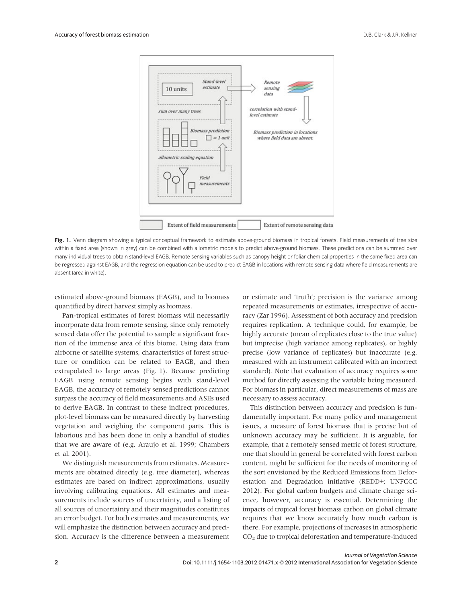

Fig. 1. Venn diagram showing a typical conceptual framework to estimate above-ground biomass in tropical forests. Field measurements of tree size within a fixed area (shown in grey) can be combined with allometric models to predict above-ground biomass. These predictions can be summed over many individual trees to obtain stand-level EAGB. Remote sensing variables such as canopy height or foliar chemical properties in the same fixed area can be regressed against EAGB, and the regression equation can be used to predict EAGB in locations with remote sensing data where field measurements are absent (area in white).

estimated above-ground biomass (EAGB), and to biomass quantified by direct harvest simply as biomass.

Pan-tropical estimates of forest biomass will necessarily incorporate data from remote sensing, since only remotely sensed data offer the potential to sample a significant fraction of the immense area of this biome. Using data from airborne or satellite systems, characteristics of forest structure or condition can be related to EAGB, and then extrapolated to large areas (Fig. 1). Because predicting EAGB using remote sensing begins with stand-level EAGB, the accuracy of remotely sensed predictions cannot surpass the accuracy of field measurements and ASEs used to derive EAGB. In contrast to these indirect procedures, plot-level biomass can be measured directly by harvesting vegetation and weighing the component parts. This is laborious and has been done in only a handful of studies that we are aware of (e.g. Araujo et al. 1999; Chambers et al. 2001).

We distinguish measurements from estimates. Measurements are obtained directly (e.g. tree diameter), whereas estimates are based on indirect approximations, usually involving calibrating equations. All estimates and measurements include sources of uncertainty, and a listing of all sources of uncertainty and their magnitudes constitutes an error budget. For both estimates and measurements, we will emphasize the distinction between accuracy and precision. Accuracy is the difference between a measurement or estimate and 'truth'; precision is the variance among repeated measurements or estimates, irrespective of accuracy (Zar 1996). Assessment of both accuracy and precision requires replication. A technique could, for example, be highly accurate (mean of replicates close to the true value) but imprecise (high variance among replicates), or highly precise (low variance of replicates) but inaccurate (e.g. measured with an instrument calibrated with an incorrect standard). Note that evaluation of accuracy requires some method for directly assessing the variable being measured. For biomass in particular, direct measurements of mass are necessary to assess accuracy.

This distinction between accuracy and precision is fundamentally important. For many policy and management issues, a measure of forest biomass that is precise but of unknown accuracy may be sufficient. It is arguable, for example, that a remotely sensed metric of forest structure, one that should in general be correlated with forest carbon content, might be sufficient for the needs of monitoring of the sort envisioned by the Reduced Emissions from Deforestation and Degradation initiative (REDD+; UNFCCC 2012). For global carbon budgets and climate change science, however, accuracy is essential. Determining the impacts of tropical forest biomass carbon on global climate requires that we know accurately how much carbon is there. For example, projections of increases in atmospheric  $CO<sub>2</sub>$  due to tropical deforestation and temperature-induced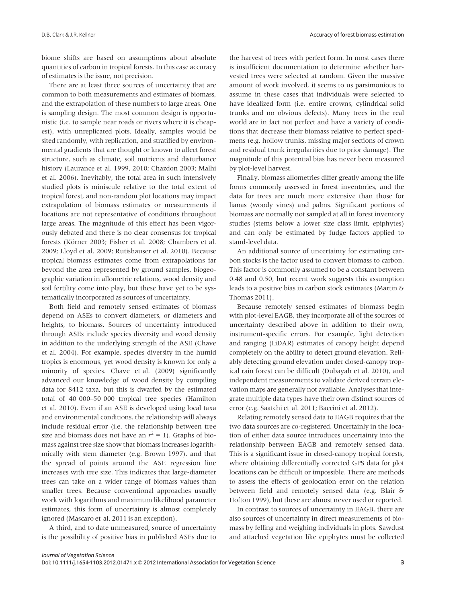biome shifts are based on assumptions about absolute quantities of carbon in tropical forests. In this case accuracy of estimates is the issue, not precision.

There are at least three sources of uncertainty that are common to both measurements and estimates of biomass, and the extrapolation of these numbers to large areas. One is sampling design. The most common design is opportunistic (i.e. to sample near roads or rivers where it is cheapest), with unreplicated plots. Ideally, samples would be sited randomly, with replication, and stratified by environmental gradients that are thought or known to affect forest structure, such as climate, soil nutrients and disturbance history (Laurance et al. 1999, 2010; Chazdon 2003; Malhi et al. 2006). Inevitably, the total area in such intensively studied plots is miniscule relative to the total extent of tropical forest, and non-random plot locations may impact extrapolation of biomass estimates or measurements if locations are not representative of conditions throughout large areas. The magnitude of this effect has been vigorously debated and there is no clear consensus for tropical forests (Körner 2003; Fisher et al. 2008; Chambers et al. 2009; Lloyd et al. 2009; Rutishauser et al. 2010). Because tropical biomass estimates come from extrapolations far beyond the area represented by ground samples, biogeographic variation in allometric relations, wood density and soil fertility come into play, but these have yet to be systematically incorporated as sources of uncertainty.

Both field and remotely sensed estimates of biomass depend on ASEs to convert diameters, or diameters and heights, to biomass. Sources of uncertainty introduced through ASEs include species diversity and wood density in addition to the underlying strength of the ASE (Chave et al. 2004). For example, species diversity in the humid tropics is enormous, yet wood density is known for only a minority of species. Chave et al. (2009) significantly advanced our knowledge of wood density by compiling data for 8412 taxa, but this is dwarfed by the estimated total of 40 000–50 000 tropical tree species (Hamilton et al. 2010). Even if an ASE is developed using local taxa and environmental conditions, the relationship will always include residual error (i.e. the relationship between tree size and biomass does not have an  $r^2 = 1$ ). Graphs of biomass against tree size show that biomass increases logarithmically with stem diameter (e.g. Brown 1997), and that the spread of points around the ASE regression line increases with tree size. This indicates that large-diameter trees can take on a wider range of biomass values than smaller trees. Because conventional approaches usually work with logarithms and maximum likelihood parameter estimates, this form of uncertainty is almost completely ignored (Mascaro et al. 2011 is an exception).

A third, and to date unmeasured, source of uncertainty is the possibility of positive bias in published ASEs due to

the harvest of trees with perfect form. In most cases there is insufficient documentation to determine whether harvested trees were selected at random. Given the massive amount of work involved, it seems to us parsimonious to assume in these cases that individuals were selected to have idealized form (i.e. entire crowns, cylindrical solid trunks and no obvious defects). Many trees in the real world are in fact not perfect and have a variety of conditions that decrease their biomass relative to perfect specimens (e.g. hollow trunks, missing major sections of crown and residual trunk irregularities due to prior damage). The magnitude of this potential bias has never been measured by plot-level harvest.

Finally, biomass allometries differ greatly among the life forms commonly assessed in forest inventories, and the data for trees are much more extensive than those for lianas (woody vines) and palms. Significant portions of biomass are normally not sampled at all in forest inventory studies (stems below a lower size class limit, epiphytes) and can only be estimated by fudge factors applied to stand-level data.

An additional source of uncertainty for estimating carbon stocks is the factor used to convert biomass to carbon. This factor is commonly assumed to be a constant between 0.48 and 0.50, but recent work suggests this assumption leads to a positive bias in carbon stock estimates (Martin & Thomas 2011).

Because remotely sensed estimates of biomass begin with plot-level EAGB, they incorporate all of the sources of uncertainty described above in addition to their own, instrument-specific errors. For example, light detection and ranging (LiDAR) estimates of canopy height depend completely on the ability to detect ground elevation. Reliably detecting ground elevation under closed-canopy tropical rain forest can be difficult (Dubayah et al. 2010), and independent measurements to validate derived terrain elevation maps are generally not available. Analyses that integrate multiple data types have their own distinct sources of error (e.g. Saatchi et al. 2011; Baccini et al. 2012).

Relating remotely sensed data to EAGB requires that the two data sources are co-registered. Uncertainly in the location of either data source introduces uncertainty into the relationship between EAGB and remotely sensed data. This is a significant issue in closed-canopy tropical forests, where obtaining differentially corrected GPS data for plot locations can be difficult or impossible. There are methods to assess the effects of geolocation error on the relation between field and remotely sensed data (e.g. Blair & Hofton 1999), but these are almost never used or reported.

In contrast to sources of uncertainty in EAGB, there are also sources of uncertainty in direct measurements of biomass by felling and weighing individuals in plots. Sawdust and attached vegetation like epiphytes must be collected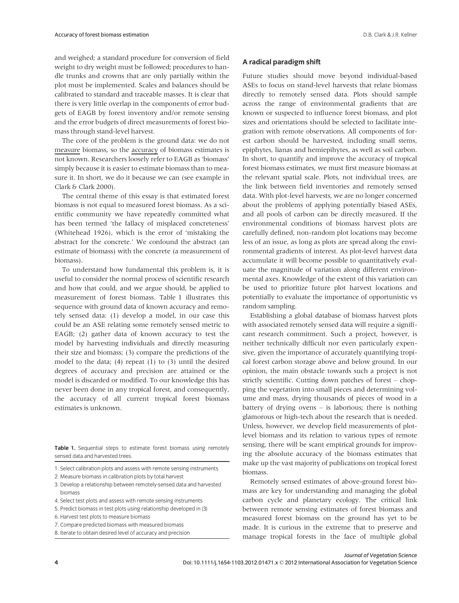and weighed; a standard procedure for conversion of field weight to dry weight must be followed; procedures to handle trunks and crowns that are only partially within the plot must be implemented. Scales and balances should be calibrated to standard and traceable masses. It is clear that there is very little overlap in the components of error budgets of EAGB by forest inventory and/or remote sensing and the error budgets of direct measurements of forest biomass through stand-level harvest.

The core of the problem is the ground data: we do not measure biomass, so the accuracy of biomass estimates is not known. Researchers loosely refer to EAGB as 'biomass' simply because it is easier to estimate biomass than to measure it. In short, we do it because we can (see example in Clark & Clark 2000).

The central theme of this essay is that estimated forest biomass is not equal to measured forest biomass. As a scientific community we have repeatedly committed what has been termed 'the fallacy of misplaced concreteness' (Whitehead 1926), which is the error of 'mistaking the abstract for the concrete.' We confound the abstract (an estimate of biomass) with the concrete (a measurement of biomass).

To understand how fundamental this problem is, it is useful to consider the normal process of scientific research and how that could, and we argue should, be applied to measurement of forest biomass. Table 1 illustrates this sequence with ground data of known accuracy and remotely sensed data: (1) develop a model, in our case this could be an ASE relating some remotely sensed metric to EAGB; (2) gather data of known accuracy to test the model by harvesting individuals and directly measuring their size and biomass; (3) compare the predictions of the model to the data; (4) repeat (1) to (3) until the desired degrees of accuracy and precision are attained or the model is discarded or modified. To our knowledge this has never been done in any tropical forest, and consequently, the accuracy of all current tropical forest biomass estimates is unknown.

Table 1. Sequential steps to estimate forest biomass using remotely sensed data and harvested trees.

- 1. Select calibration plots and assess with remote sensing instruments
- 2. Measure biomass in calibration plots by total harvest
- 3. Develop a relationship between remotely-sensed data and harvested biomass
- 4. Select test plots and assess with remote sensing instruments
- 5. Predict biomass in test plots using relationship developed in (3)
- 6. Harvest test plots to measure biomass
- 7. Compare predicted biomass with measured biomass
- 8. Iterate to obtain desired level of accuracy and precision

## A radical paradigm shift

Future studies should move beyond individual-based ASEs to focus on stand-level harvests that relate biomass directly to remotely sensed data. Plots should sample across the range of environmental gradients that are known or suspected to influence forest biomass, and plot sizes and orientations should be selected to facilitate integration with remote observations. All components of forest carbon should be harvested, including small stems, epiphytes, lianas and hemiepihytes, as well as soil carbon. In short, to quantify and improve the accuracy of tropical forest biomass estimates, we must first measure biomass at the relevant spatial scale. Plots, not individual trees, are the link between field inventories and remotely sensed data. With plot-level harvests, we are no longer concerned about the problems of applying potentially biased ASEs, and all pools of carbon can be directly measured. If the environmental conditions of biomass harvest plots are carefully defined, non-random plot locations may become less of an issue, as long as plots are spread along the environmental gradients of interest. As plot-level harvest data accumulate it will become possible to quantitatively evaluate the magnitude of variation along different environmental axes. Knowledge of the extent of this variation can be used to prioritize future plot harvest locations and potentially to evaluate the importance of opportunistic vs random sampling.

Establishing a global database of biomass harvest plots with associated remotely sensed data will require a significant research commitment. Such a project, however, is neither technically difficult nor even particularly expensive, given the importance of accurately quantifying tropical forest carbon storage above and below ground. In our opinion, the main obstacle towards such a project is not strictly scientific. Cutting down patches of forest – chopping the vegetation into small pieces and determining volume and mass, drying thousands of pieces of wood in a battery of drying ovens – is laborious; there is nothing glamorous or high-tech about the research that is needed. Unless, however, we develop field measurements of plotlevel biomass and its relation to various types of remote sensing, there will be scant empirical grounds for improving the absolute accuracy of the biomass estimates that make up the vast majority of publications on tropical forest biomass.

Remotely sensed estimates of above-ground forest biomass are key for understanding and managing the global carbon cycle and planetary ecology. The critical link between remote sensing estimates of forest biomass and measured forest biomass on the ground has yet to be made. It is curious in the extreme that to preserve and manage tropical forests in the face of multiple global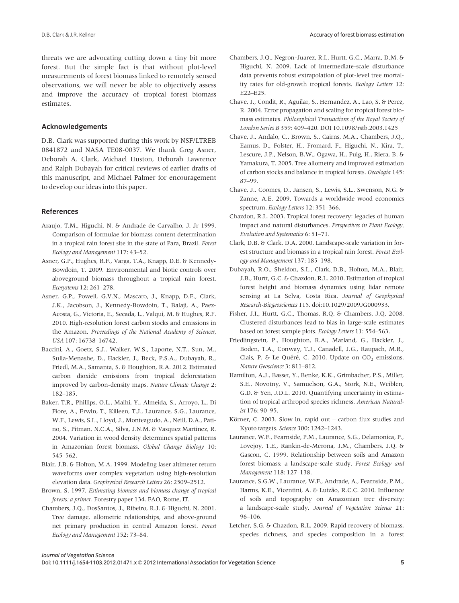threats we are advocating cutting down a tiny bit more forest. But the simple fact is that without plot-level measurements of forest biomass linked to remotely sensed observations, we will never be able to objectively assess and improve the accuracy of tropical forest biomass estimates.

#### Acknowledgements

D.B. Clark was supported during this work by NSF/LTREB 0841872 and NASA TE08-0037. We thank Greg Asner, Deborah A. Clark, Michael Huston, Deborah Lawrence and Ralph Dubayah for critical reviews of earlier drafts of this manuscript, and Michael Palmer for encouragement to develop our ideas into this paper.

### References

- Araujo, T.M., Higuchi, N. & Andrade de Carvalho, J. Jr 1999. Comparison of formulae for biomass content determination in a tropical rain forest site in the state of Para, Brazil. Forest Ecology and Management 117: 43–52.
- Asner, G.P., Hughes, R.F., Varga, T.A., Knapp, D.E. & Kennedy-Bowdoin, T. 2009. Environmental and biotic controls over aboveground biomass throughout a tropical rain forest. Ecosystems 12: 261–278.
- Asner, G.P., Powell, G.V.N., Mascaro, J., Knapp, D.E., Clark, J.K., Jacobson, J., Kennedy-Bowdoin, T., Balaji, A., Paez-Acosta, G., Victoria, E., Secada, L., Valqui, M. & Hughes, R.F. 2010. High-resolution forest carbon stocks and emissions in the Amazon. Proceedings of the National Academy of Sciences, USA 107: 16738–16742.
- Baccini, A., Goetz, S.J., Walker, W.S., Laporte, N.T., Sun, M., Sulla-Menashe, D., Hackler, J., Beck, P.S.A., Dubayah, R., Friedl, M.A., Samanta, S. & Houghton, R.A. 2012. Estimated carbon dioxide emissions from tropical deforestation improved by carbon-density maps. Nature Climate Change 2: 182–185.
- Baker, T.R., Phillips, O.L., Malhi, Y., Almeida, S., Arroyo, L., Di Fiore, A., Erwin, T., Killeen, T.J., Laurance, S.G., Laurance, W.F., Lewis, S.L., Lloyd, J., Monteagudo, A., Neill, D.A., Patino, S., Pitman, N.C.A., Silva, J.N.M. & Vasquez Martinez, R. 2004. Variation in wood density determines spatial patterns in Amazonian forest biomass. Global Change Biology 10: 545–562.
- Blair, J.B. & Hofton, M.A. 1999. Modeling laser altimeter return waveforms over complex vegetation using high-resolution elevation data. Geophysical Research Letters 26: 2509–2512.
- Brown, S. 1997. Estimating biomass and biomass change of tropical forests: a primer. Forestry paper 134. FAO, Rome, IT.
- Chambers, J.Q., DosSantos, J., Ribeiro, R.J. & Higuchi, N. 2001. Tree damage, allometric relationships, and above-ground net primary production in central Amazon forest. Forest Ecology and Management 152: 73–84.
- Chambers, J.Q., Negron-Juarez, R.I., Hurtt, G.C., Marra, D.M. & Higuchi, N. 2009. Lack of intermediate-scale disturbance data prevents robust extrapolation of plot-level tree mortality rates for old-growth tropical forests. Ecology Letters 12: E22–E25.
- Chave, J., Condit, R., Aguilar, S., Hernandez, A., Lao, S. & Perez, R. 2004. Error propagation and scaling for tropical forest biomass estimates. Philosophical Transactions of the Royal Society of London Series B 359: 409–420. DOI 10.1098/rstb.2003.1425
- Chave, J., Andalo, C., Brown, S., Cairns, M.A., Chambers, J.Q., Eamus, D., Folster, H., Fromard, F., Higuchi, N., Kira, T., Lescure, J.P., Nelson, B.W., Ogawa, H., Puig, H., Riera, B. & Yamakura, T. 2005. Tree allometry and improved estimation of carbon stocks and balance in tropical forests. Oecologia 145: 87–99.
- Chave, J., Coomes, D., Jansen, S., Lewis, S.L., Swenson, N.G. & Zanne, A.E. 2009. Towards a worldwide wood economics spectrum. Ecology Letters 12: 351-366.
- Chazdon, R.L. 2003. Tropical forest recovery: legacies of human impact and natural disturbances. Perspectives in Plant Ecology, Evolution and Systematics 6: 51–71.
- Clark, D.B. & Clark, D.A. 2000. Landscape-scale variation in forest structure and biomass in a tropical rain forest. Forest Ecology and Management 137: 185–198.
- Dubayah, R.O., Sheldon, S.L., Clark, D.B., Hofton, M.A., Blair, J.B., Hurtt, G.C. & Chazdon, R.L. 2010. Estimation of tropical forest height and biomass dynamics using lidar remote sensing at La Selva, Costa Rica. Journal of Geophysical Research-Biogeosciences 115. doi:10.1029/2009JG000933.
- Fisher, J.I., Hurtt, G.C., Thomas, R.Q. & Chambers, J.Q. 2008. Clustered disturbances lead to bias in large-scale estimates based on forest sample plots. Ecology Letters 11: 554–563.
- Friedlingstein, P., Houghton, R.A., Marland, G., Hackler, J., Boden, T.A., Conway, T.J., Canadell, J.G., Raupach, M.R., Ciais, P. & Le Quéré, C. 2010. Update on  $CO<sub>2</sub>$  emissions. Nature Geoscience 3: 811–812.
- Hamilton, A.J., Basset, Y., Benke, K.K., Grimbacher, P.S., Miller, S.E., Novotny, V., Samuelson, G.A., Stork, N.E., Weiblen, G.D. & Yen, J.D.L. 2010. Quantifying uncertainty in estimation of tropical arthropod species richness. American Naturalist 176: 90–95.
- Körner, C. 2003. Slow in, rapid out carbon flux studies and Kyoto targets. Science 300: 1242–1243.
- Laurance, W.F., Fearnside, P.M., Laurance, S.G., Delamonica, P., Lovejoy, T.E., Rankin-de-Merona, J.M., Chambers, J.Q. & Gascon, C. 1999. Relationship between soils and Amazon forest biomass: a landscape-scale study. Forest Ecology and Management 118: 127–138.
- Laurance, S.G.W., Laurance, W.F., Andrade, A., Fearnside, P.M., Harms, K.E., Vicentini, A. & Luizão, R.C.C. 2010. Influence of soils and topography on Amazonian tree diversity: a landscape-scale study. Journal of Vegetation Science 21: 96–106.
- Letcher, S.G. & Chazdon, R.L. 2009. Rapid recovery of biomass, species richness, and species composition in a forest